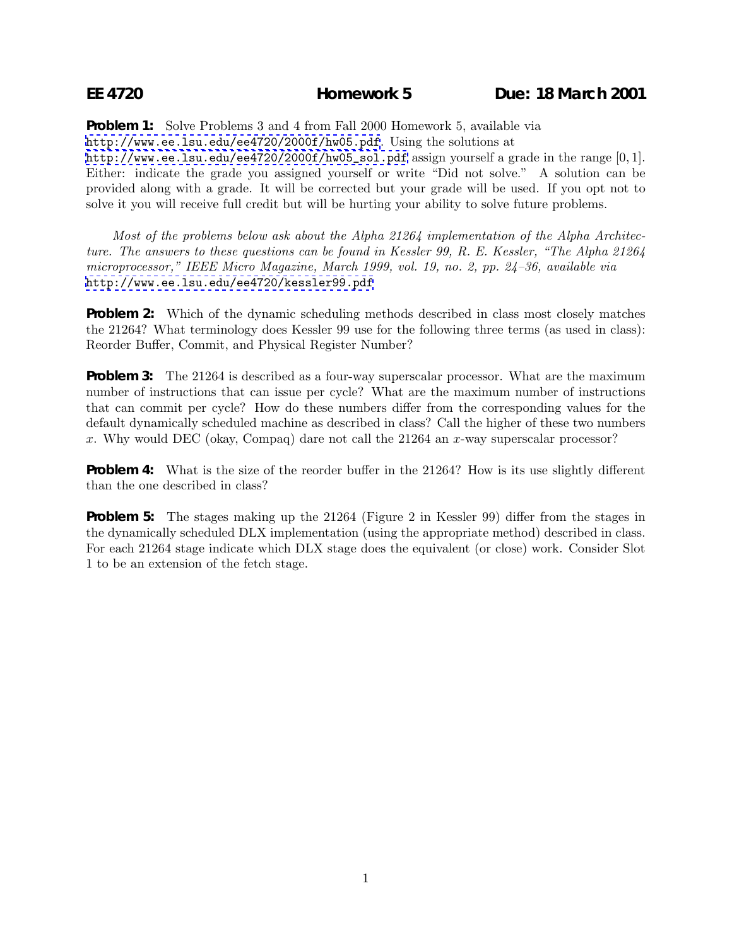**Problem 1:** Solve Problems 3 and 4 from Fall 2000 Homework 5, available via <http://www.ee.lsu.edu/ee4720/2000f/hw05.pdf>. Using the solutions at [http://www.ee.lsu.edu/ee4720/2000f/hw05\\_sol.pdf](http://www.ee.lsu.edu/ee4720/2000f/hw05_sol.pdf) assign yourself a grade in the range [0,1]. Either: indicate the grade you assigned yourself or write "Did not solve." A solution can be provided along with a grade. It will be corrected but your grade will be used. If you opt not to solve it you will receive full credit but will be hurting your ability to solve future problems.

*Most of the problems below ask about the Alpha 21264 implementation of the Alpha Architecture. The answers to these questions can be found in Kessler 99, R. E. Kessler, "The Alpha 21264 microprocessor," IEEE Micro Magazine, March 1999, vol. 19, no. 2, pp. 24–36, available via* <http://www.ee.lsu.edu/ee4720/kessler99.pdf>

**Problem 2:** Which of the dynamic scheduling methods described in class most closely matches the 21264? What terminology does Kessler 99 use for the following three terms (as used in class): Reorder Buffer, Commit, and Physical Register Number?

**Problem 3:** The 21264 is described as a four-way superscalar processor. What are the maximum number of instructions that can issue per cycle? What are the maximum number of instructions that can commit per cycle? How do these numbers differ from the corresponding values for the default dynamically scheduled machine as described in class? Call the higher of these two numbers x. Why would DEC (okay, Compaq) dare not call the 21264 an x-way superscalar processor?

**Problem 4:** What is the size of the reorder buffer in the 21264? How is its use slightly different than the one described in class?

**Problem 5:** The stages making up the 21264 (Figure 2 in Kessler 99) differ from the stages in the dynamically scheduled DLX implementation (using the appropriate method) described in class. For each 21264 stage indicate which DLX stage does the equivalent (or close) work. Consider Slot 1 to be an extension of the fetch stage.